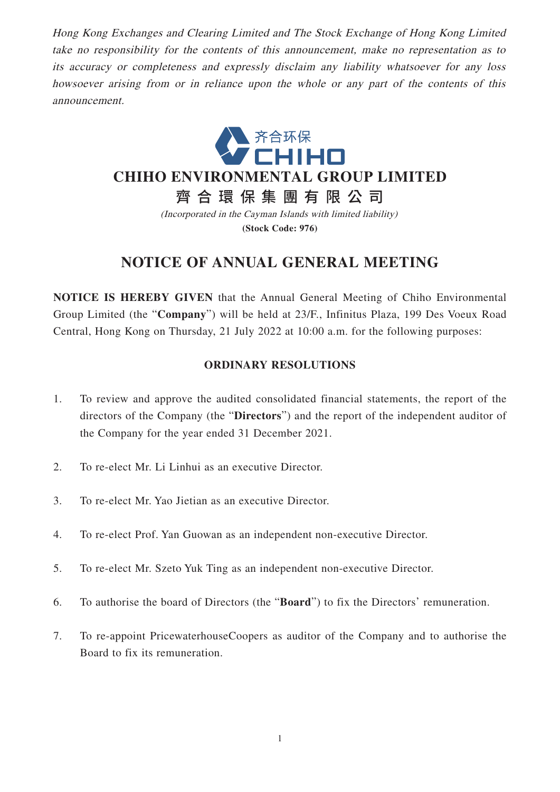Hong Kong Exchanges and Clearing Limited and The Stock Exchange of Hong Kong Limited take no responsibility for the contents of this announcement, make no representation as to its accuracy or completeness and expressly disclaim any liability whatsoever for any loss howsoever arising from or in reliance upon the whole or any part of the contents of this announcement.



**(Stock Code: 976)**

## **NOTICE OF ANNUAL GENERAL MEETING**

**NOTICE IS HEREBY GIVEN** that the Annual General Meeting of Chiho Environmental Group Limited (the "**Company**") will be held at 23/F., Infinitus Plaza, 199 Des Voeux Road Central, Hong Kong on Thursday, 21 July 2022 at 10:00 a.m. for the following purposes:

## **ORDINARY RESOLUTIONS**

- 1. To review and approve the audited consolidated financial statements, the report of the directors of the Company (the "**Directors**") and the report of the independent auditor of the Company for the year ended 31 December 2021.
- 2. To re-elect Mr. Li Linhui as an executive Director.
- 3. To re-elect Mr. Yao Jietian as an executive Director.
- 4. To re-elect Prof. Yan Guowan as an independent non-executive Director.
- 5. To re-elect Mr. Szeto Yuk Ting as an independent non-executive Director.
- 6. To authorise the board of Directors (the "**Board**") to fix the Directors' remuneration.
- 7. To re-appoint PricewaterhouseCoopers as auditor of the Company and to authorise the Board to fix its remuneration.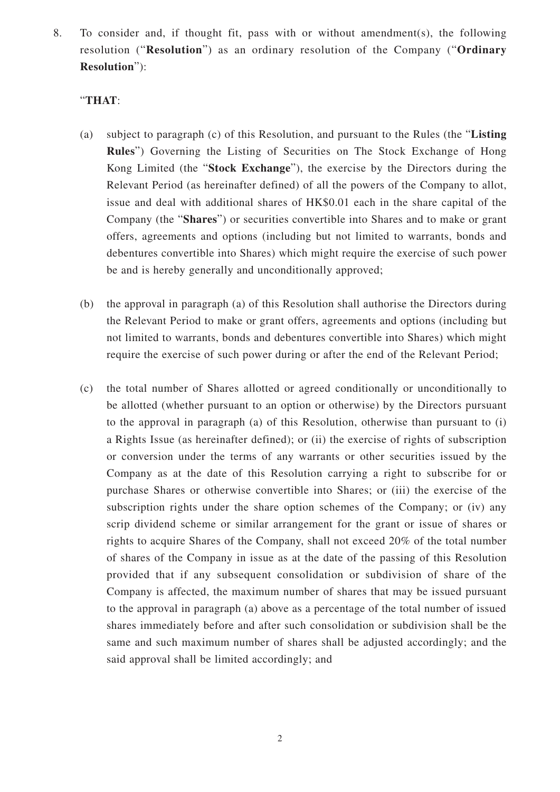8. To consider and, if thought fit, pass with or without amendment(s), the following resolution ("**Resolution**") as an ordinary resolution of the Company ("**Ordinary Resolution**"):

## "**THAT**:

- (a) subject to paragraph (c) of this Resolution, and pursuant to the Rules (the "**Listing Rules**") Governing the Listing of Securities on The Stock Exchange of Hong Kong Limited (the "**Stock Exchange**"), the exercise by the Directors during the Relevant Period (as hereinafter defined) of all the powers of the Company to allot, issue and deal with additional shares of HK\$0.01 each in the share capital of the Company (the "**Shares**") or securities convertible into Shares and to make or grant offers, agreements and options (including but not limited to warrants, bonds and debentures convertible into Shares) which might require the exercise of such power be and is hereby generally and unconditionally approved;
- (b) the approval in paragraph (a) of this Resolution shall authorise the Directors during the Relevant Period to make or grant offers, agreements and options (including but not limited to warrants, bonds and debentures convertible into Shares) which might require the exercise of such power during or after the end of the Relevant Period;
- (c) the total number of Shares allotted or agreed conditionally or unconditionally to be allotted (whether pursuant to an option or otherwise) by the Directors pursuant to the approval in paragraph (a) of this Resolution, otherwise than pursuant to (i) a Rights Issue (as hereinafter defined); or (ii) the exercise of rights of subscription or conversion under the terms of any warrants or other securities issued by the Company as at the date of this Resolution carrying a right to subscribe for or purchase Shares or otherwise convertible into Shares; or (iii) the exercise of the subscription rights under the share option schemes of the Company; or (iv) any scrip dividend scheme or similar arrangement for the grant or issue of shares or rights to acquire Shares of the Company, shall not exceed 20% of the total number of shares of the Company in issue as at the date of the passing of this Resolution provided that if any subsequent consolidation or subdivision of share of the Company is affected, the maximum number of shares that may be issued pursuant to the approval in paragraph (a) above as a percentage of the total number of issued shares immediately before and after such consolidation or subdivision shall be the same and such maximum number of shares shall be adjusted accordingly; and the said approval shall be limited accordingly; and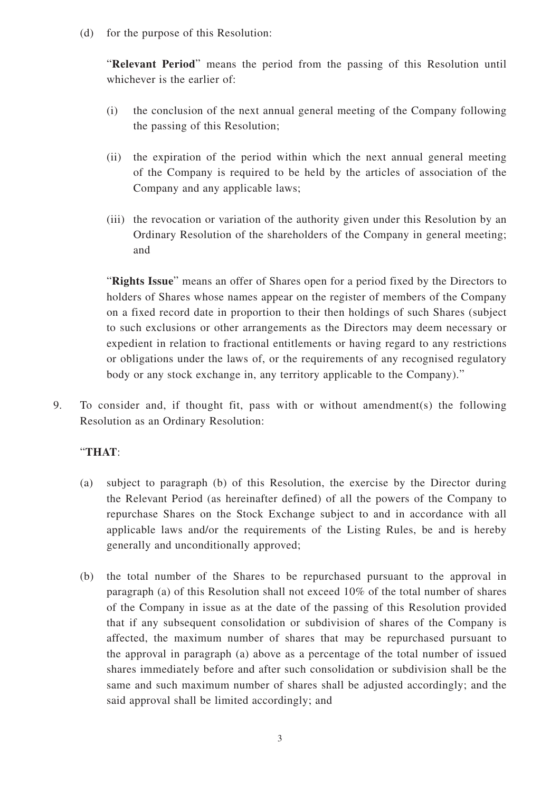(d) for the purpose of this Resolution:

"**Relevant Period**" means the period from the passing of this Resolution until whichever is the earlier of:

- (i) the conclusion of the next annual general meeting of the Company following the passing of this Resolution;
- (ii) the expiration of the period within which the next annual general meeting of the Company is required to be held by the articles of association of the Company and any applicable laws;
- (iii) the revocation or variation of the authority given under this Resolution by an Ordinary Resolution of the shareholders of the Company in general meeting; and

"**Rights Issue**" means an offer of Shares open for a period fixed by the Directors to holders of Shares whose names appear on the register of members of the Company on a fixed record date in proportion to their then holdings of such Shares (subject to such exclusions or other arrangements as the Directors may deem necessary or expedient in relation to fractional entitlements or having regard to any restrictions or obligations under the laws of, or the requirements of any recognised regulatory body or any stock exchange in, any territory applicable to the Company)."

9. To consider and, if thought fit, pass with or without amendment(s) the following Resolution as an Ordinary Resolution:

## "**THAT**:

- (a) subject to paragraph (b) of this Resolution, the exercise by the Director during the Relevant Period (as hereinafter defined) of all the powers of the Company to repurchase Shares on the Stock Exchange subject to and in accordance with all applicable laws and/or the requirements of the Listing Rules, be and is hereby generally and unconditionally approved;
- (b) the total number of the Shares to be repurchased pursuant to the approval in paragraph (a) of this Resolution shall not exceed 10% of the total number of shares of the Company in issue as at the date of the passing of this Resolution provided that if any subsequent consolidation or subdivision of shares of the Company is affected, the maximum number of shares that may be repurchased pursuant to the approval in paragraph (a) above as a percentage of the total number of issued shares immediately before and after such consolidation or subdivision shall be the same and such maximum number of shares shall be adjusted accordingly; and the said approval shall be limited accordingly; and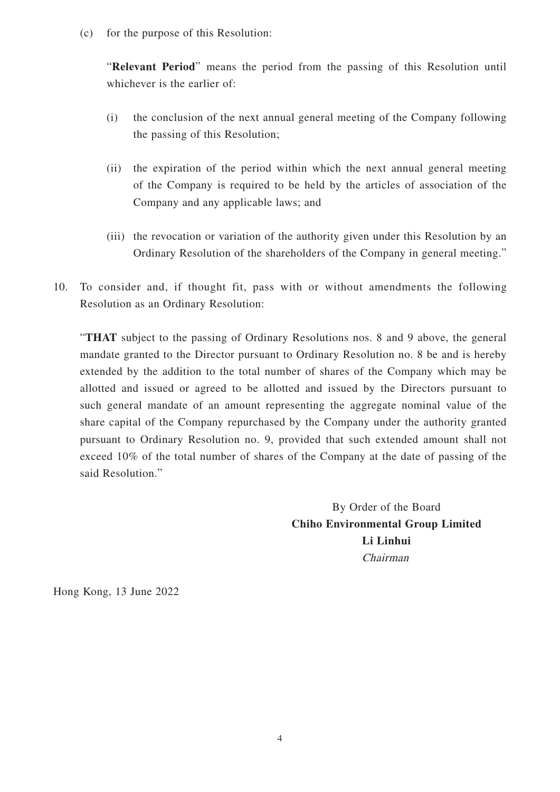(c) for the purpose of this Resolution:

"**Relevant Period**" means the period from the passing of this Resolution until whichever is the earlier of:

- (i) the conclusion of the next annual general meeting of the Company following the passing of this Resolution;
- (ii) the expiration of the period within which the next annual general meeting of the Company is required to be held by the articles of association of the Company and any applicable laws; and
- (iii) the revocation or variation of the authority given under this Resolution by an Ordinary Resolution of the shareholders of the Company in general meeting."
- 10. To consider and, if thought fit, pass with or without amendments the following Resolution as an Ordinary Resolution:

"**THAT** subject to the passing of Ordinary Resolutions nos. 8 and 9 above, the general mandate granted to the Director pursuant to Ordinary Resolution no. 8 be and is hereby extended by the addition to the total number of shares of the Company which may be allotted and issued or agreed to be allotted and issued by the Directors pursuant to such general mandate of an amount representing the aggregate nominal value of the share capital of the Company repurchased by the Company under the authority granted pursuant to Ordinary Resolution no. 9, provided that such extended amount shall not exceed 10% of the total number of shares of the Company at the date of passing of the said Resolution."

> By Order of the Board **Chiho Environmental Group Limited Li Linhui** Chairman

Hong Kong, 13 June 2022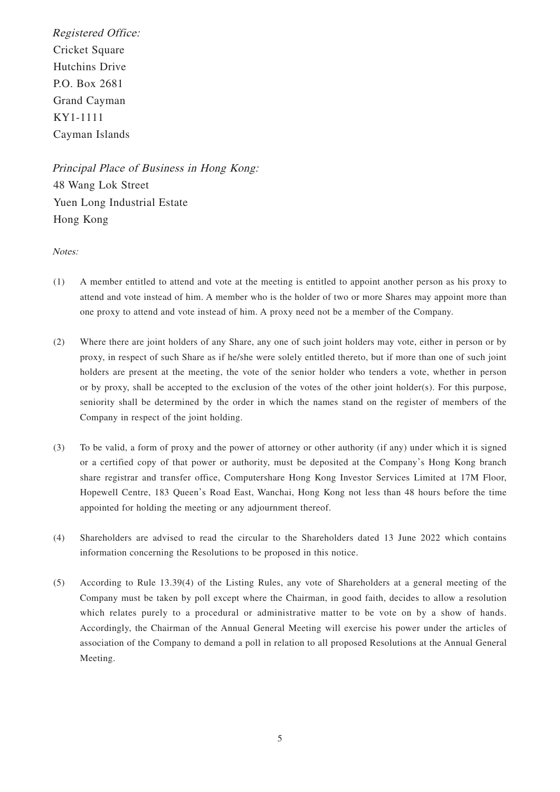Registered Office: Cricket Square Hutchins Drive P.O. Box 2681 Grand Cayman KY1-1111 Cayman Islands

Principal Place of Business in Hong Kong: 48 Wang Lok Street Yuen Long Industrial Estate Hong Kong

Notes:

- (1) A member entitled to attend and vote at the meeting is entitled to appoint another person as his proxy to attend and vote instead of him. A member who is the holder of two or more Shares may appoint more than one proxy to attend and vote instead of him. A proxy need not be a member of the Company.
- (2) Where there are joint holders of any Share, any one of such joint holders may vote, either in person or by proxy, in respect of such Share as if he/she were solely entitled thereto, but if more than one of such joint holders are present at the meeting, the vote of the senior holder who tenders a vote, whether in person or by proxy, shall be accepted to the exclusion of the votes of the other joint holder(s). For this purpose, seniority shall be determined by the order in which the names stand on the register of members of the Company in respect of the joint holding.
- (3) To be valid, a form of proxy and the power of attorney or other authority (if any) under which it is signed or a certified copy of that power or authority, must be deposited at the Company's Hong Kong branch share registrar and transfer office, Computershare Hong Kong Investor Services Limited at 17M Floor, Hopewell Centre, 183 Queen's Road East, Wanchai, Hong Kong not less than 48 hours before the time appointed for holding the meeting or any adjournment thereof.
- (4) Shareholders are advised to read the circular to the Shareholders dated 13 June 2022 which contains information concerning the Resolutions to be proposed in this notice.
- (5) According to Rule 13.39(4) of the Listing Rules, any vote of Shareholders at a general meeting of the Company must be taken by poll except where the Chairman, in good faith, decides to allow a resolution which relates purely to a procedural or administrative matter to be vote on by a show of hands. Accordingly, the Chairman of the Annual General Meeting will exercise his power under the articles of association of the Company to demand a poll in relation to all proposed Resolutions at the Annual General Meeting.